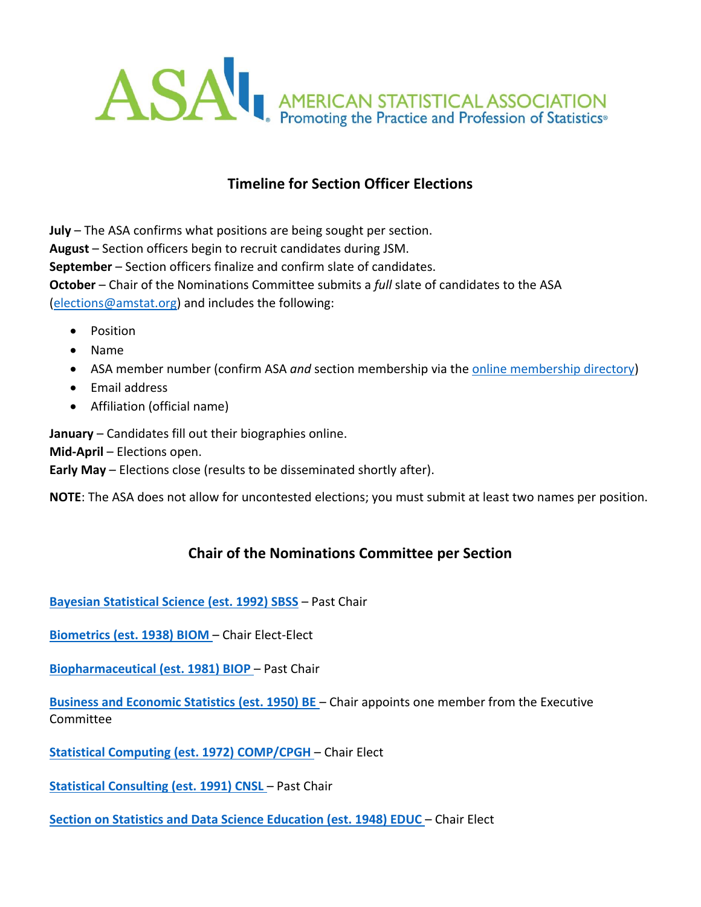

## **Timeline for Section Officer Elections**

**July** – The ASA confirms what positions are being sought per section. **August** – Section officers begin to recruit candidates during JSM. **September** – Section officers finalize and confirm slate of candidates. **October** – Chair of the Nominations Committee submits a *full* slate of candidates to the ASA [\(elections@amstat.org\)](mailto:elections@amstat.org) and includes the following:

- Position
- Name
- ASA member number (confirm ASA *and* section membership via the <u>online membership directory</u>)
- Email address
- Affiliation (official name)

**January** – Candidates fill out their biographies online.

**Mid-April** – Elections open.

**Early May** – Elections close (results to be disseminated shortly after).

**NOTE**: The ASA does not allow for uncontested elections; you must submit at least two names per position.

## **Chair of the Nominations Committee per Section**

**[Bayesian Statistical Science](http://community.amstat.org/sbss/home) (est. 1992) SBSS** – Past Chair

**[Biometrics](http://community.amstat.org/biometricsbiom/home) (est. 1938) BIOM** – Chair Elect-Elect

**[Biopharmaceutical](http://community.amstat.org/BioP/home) (est. 1981) BIOP** – Past Chair

**[Business and Economic Statistics](http://community.amstat.org/businessandeconomicstatisticssection/home) (est. 1950) BE** – Chair appoints one member from the Executive Committee

**[Statistical Computing](http://stat-computing.org/) (est. 1972) COMP/CPGH** – Chair Elect

**[Statistical Consulting](http://community.amstat.org/CNSL/Home/) (est. 1991) CNSL** – Past Chair

**[Section on Statistics and Data Science Education](http://community.amstat.org/statisticaleducationsection/home) (est. 1948) EDUC** – Chair Elect